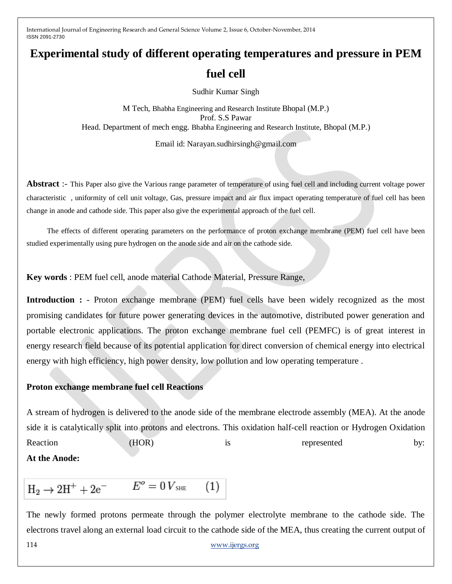# **Experimental study of different operating temperatures and pressure in PEM fuel cell**

Sudhir Kumar Singh

M Tech, Bhabha Engineering and Research Institute Bhopal (M.P.) Prof. S.S Pawar Head. Department of mech engg. Bhabha Engineering and Research Institute, Bhopal (M.P.)

Email id: Narayan.sudhirsingh@gmail.com

Abstract :- This Paper also give the Various range parameter of temperature of using fuel cell and including current voltage power characteristic , uniformity of cell unit voltage, Gas, pressure impact and air flux impact operating temperature of fuel cell has been change in anode and cathode side. This paper also give the experimental approach of the fuel cell.

 The effects of different operating parameters on the performance of proton exchange membrane (PEM) fuel cell have been studied experimentally using pure hydrogen on the anode side and air on the cathode side.

**Key words** : PEM fuel cell, anode material Cathode Material, Pressure Range,

**Introduction :** - Proton exchange membrane (PEM) fuel cells have been widely recognized as the most promising candidates for future power generating devices in the automotive, distributed power generation and portable electronic applications. The proton exchange membrane fuel cell (PEMFC) is of great interest in energy research field because of its potential application for direct conversion of chemical energy into electrical energy with high efficiency, high power density, low pollution and low operating temperature .

#### **Proton exchange membrane fuel cell Reactions**

A stream of hydrogen is delivered to the [anode](http://en.wikipedia.org/wiki/Anode) side of the [membrane electrode assembly](http://en.wikipedia.org/wiki/Membrane_electrode_assembly) (MEA). At the anode side it is [catalytically](http://en.wikipedia.org/wiki/Catalysis) split into [protons](http://en.wikipedia.org/wiki/Proton) and [electrons.](http://en.wikipedia.org/wiki/Electron) This [oxidation half-cell reaction](http://en.wikipedia.org/wiki/Redox) or Hydrogen Oxidation Reaction (HOR) is represented by: **At the Anode:**

 $H_2 \to 2H^+ + 2e^ E^o = 0 V_{\text{SHE}}$  $E^o = 0 V_{\text{SHE}}$  $E^o = 0 V_{\text{SHE}}$  $(1)$ 

114 [www.ijergs.org](http://www.ijergs.org/) The newly formed protons permeate through the polymer electrolyte membrane to the cathode side. The electrons travel along an external [load circuit](http://en.wikipedia.org/wiki/Electrical_network) to the [cathode](http://en.wikipedia.org/wiki/Cathode) side of the MEA, thus creating the [current](http://en.wikipedia.org/wiki/Current_(electricity)) output of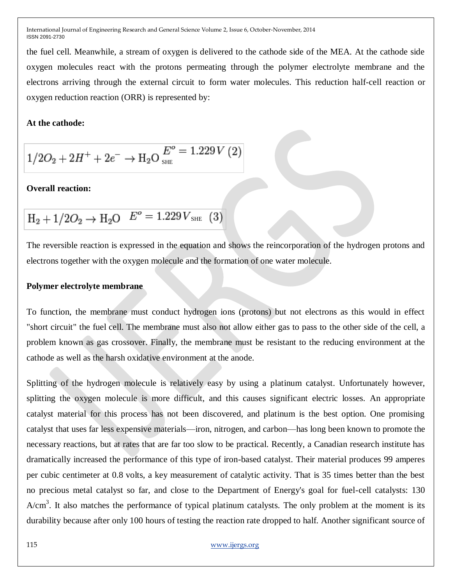the fuel cell. Meanwhile, a stream of oxygen is delivered to the cathode side of the MEA. At the cathode side oxygen molecules react with the protons permeating through the polymer electrolyte membrane and the electrons arriving through the external circuit to form water molecules. This [reduction](http://en.wikipedia.org/wiki/Redox) half-cell reaction or [oxygen reduction reaction](http://en.wikipedia.org/wiki/Oxygen_reduction_reaction) (ORR) is represented by:

#### **At the cathode:**

$$
1/2O_2 + 2H^+ + 2e^- \rightarrow H_2O \t{E^o}_{\rm SHE} = 1.229 V(2)
$$

#### **Overall reaction:**

$$
H_2 + 1/2O_2 \rightarrow H_2O \quad E^o = 1.229 V_{\text{SHE}} \quad (3)
$$

The reversible reaction is expressed in the equation and shows the reincorporation of the hydrogen protons and electrons together with the oxygen molecule and the formation of one water molecule.

### **Polymer electrolyte membrane**

To function, the membrane must conduct hydrogen ions (protons) but not electrons as this would in effect ["short circuit"](http://en.wikipedia.org/wiki/Short_circuit) the fuel cell. The membrane must also not allow either gas to pass to the other side of the cell, a problem known as gas crossover. Finally, the membrane must be resistant to the reducing environment at the cathode as well as the harsh oxidative environment at the anode.

Splitting of the hydrogen [molecule](http://en.wikipedia.org/wiki/Molecule) is relatively easy by using a [platinum](http://en.wikipedia.org/wiki/Platinum) catalyst. Unfortunately however, splitting the oxygen molecule is more difficult, and this causes significant electric losses. An appropriate catalyst material for this process has not been discovered, and platinum is the best option. One promising catalyst that uses far less expensive materials—iron, nitrogen, and carbon—has long been known to promote the necessary reactions, but at rates that are far too slow to be practical. Recently, a Canadian research institute has dramatically increased the performance of this type of iron-based catalyst. Their material produces 99 amperes per cubic centimeter at 0.8 volts, a key measurement of catalytic activity. That is 35 times better than the best no precious metal catalyst so far, and close to the Department of Energy's goal for fuel-cell catalysts: 130  $A/cm<sup>3</sup>$ . It also matches the performance of typical platinum catalysts. The only problem at the moment is its durability because after only 100 hours of testing the reaction rate dropped to half. Another significant source of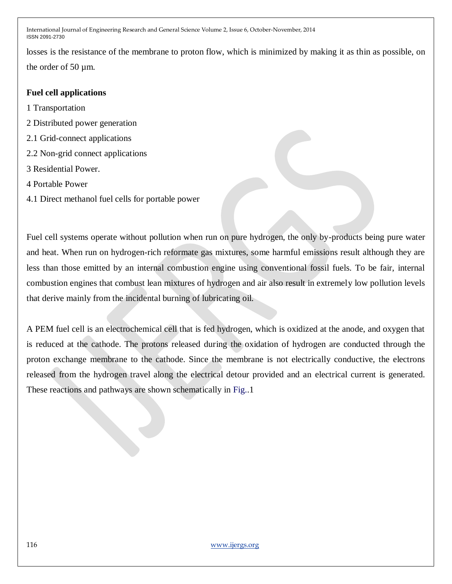losses is the resistance of the membrane to proton flow, which is minimized by making it as thin as possible, on the order of 50 [µm.](http://en.wikipedia.org/wiki/Micrometer_(unit))

## **Fuel cell applications**

1 Transportation

- 2 Distributed power generation
- 2.1 Grid-connect applications
- 2.2 Non-grid connect applications
- 3 Residential Power.
- 4 Portable Power
- 4.1 Direct methanol fuel cells for portable power

Fuel cell systems operate without pollution when run on pure hydrogen, the only by-products being pure water and heat. When run on hydrogen-rich reformate gas mixtures, some harmful emissions result although they are less than those emitted by an internal combustion engine using conventional fossil fuels. To be fair, internal combustion engines that combust lean mixtures of hydrogen and air also result in extremely low pollution levels that derive mainly from the incidental burning of lubricating oil.

A PEM fuel cell is an electrochemical cell that is fed hydrogen, which is oxidized at the anode, and oxygen that is reduced at the cathode. The protons released during the oxidation of hydrogen are conducted through the proton exchange membrane to the cathode. Since the membrane is not electrically conductive, the electrons released from the hydrogen travel along the electrical detour provided and an electrical current is generated. These reactions and pathways are shown schematically in Fig..1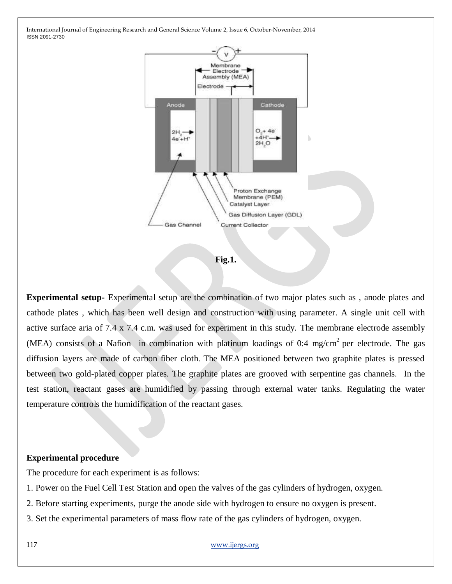

**Fig.1.**

**Experimental setup-** Experimental setup are the combination of two major plates such as , anode plates and cathode plates , which has been well design and construction with using parameter. A single unit cell with active surface aria of 7.4 x 7.4 c.m. was used for experiment in this study. The membrane electrode assembly (MEA) consists of a Nafion in combination with platinum loadings of 0:4 mg/cm<sup>2</sup> per electrode. The gas diffusion layers are made of carbon fiber cloth. The MEA positioned between two graphite plates is pressed between two gold-plated copper plates. The graphite plates are grooved with serpentine gas channels. In the test station, reactant gases are humidified by passing through external water tanks. Regulating the water temperature controls the humidification of the reactant gases.

#### **Experimental procedure**

The procedure for each experiment is as follows:

1. Power on the Fuel Cell Test Station and open the valves of the gas cylinders of hydrogen, oxygen.

2. Before starting experiments, purge the anode side with hydrogen to ensure no oxygen is present.

3. Set the experimental parameters of mass flow rate of the gas cylinders of hydrogen, oxygen.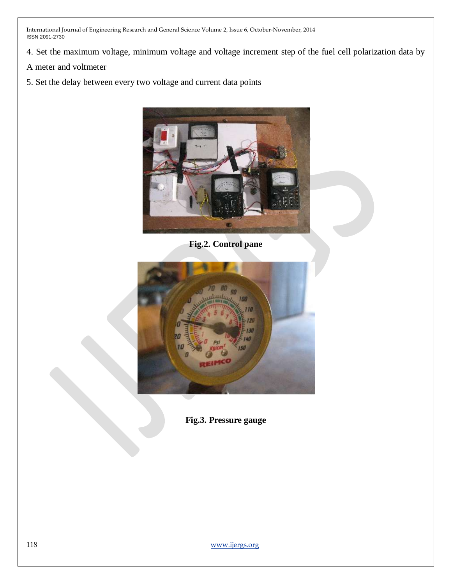- 4. Set the maximum voltage, minimum voltage and voltage increment step of the fuel cell polarization data by
- A meter and voltmeter
- 5. Set the delay between every two voltage and current data points



**Fig.2. Control pane**



**Fig.3. Pressure gauge**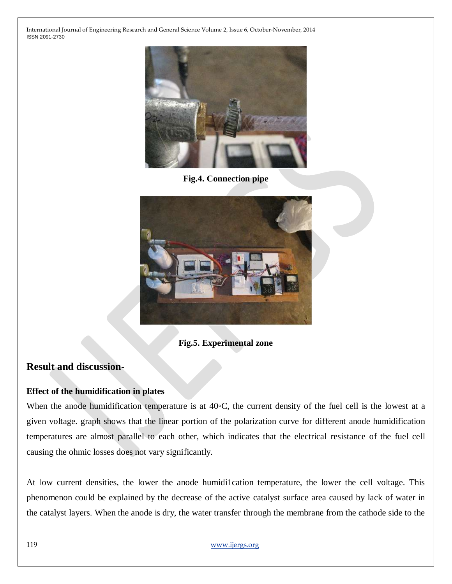

**Fig.4. Connection pipe**



### **Fig.5. Experimental zone**

# **Result and discussion-**

#### **Effect of the humidification in plates**

When the anode humidification temperature is at 40*◦*C, the current density of the fuel cell is the lowest at a given voltage. graph shows that the linear portion of the polarization curve for different anode humidification temperatures are almost parallel to each other, which indicates that the electrical resistance of the fuel cell causing the ohmic losses does not vary significantly.

At low current densities, the lower the anode humidi1cation temperature, the lower the cell voltage. This phenomenon could be explained by the decrease of the active catalyst surface area caused by lack of water in the catalyst layers. When the anode is dry, the water transfer through the membrane from the cathode side to the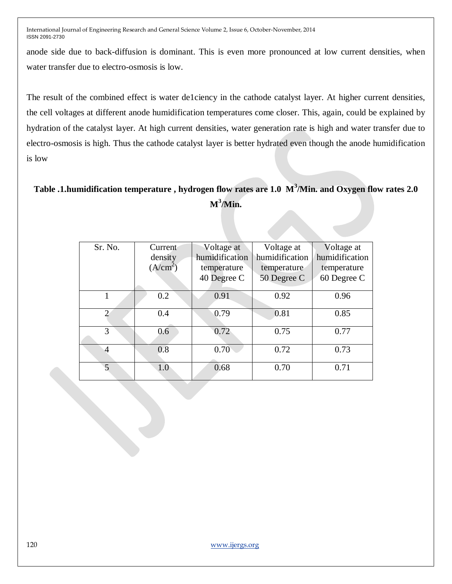anode side due to back-diffusion is dominant. This is even more pronounced at low current densities, when water transfer due to electro-osmosis is low.

The result of the combined effect is water de1ciency in the cathode catalyst layer. At higher current densities, the cell voltages at different anode humidification temperatures come closer. This, again, could be explained by hydration of the catalyst layer. At high current densities, water generation rate is high and water transfer due to electro-osmosis is high. Thus the cathode catalyst layer is better hydrated even though the anode humidification is low

# **Table .1.humidification temperature , hydrogen flow rates are 1.0 M<sup>3</sup> /Min. and Oxygen flow rates 2.0**   $M^3/M$ in.

| Sr. No.        | Current              | Voltage at     | Voltage at     | Voltage at     |
|----------------|----------------------|----------------|----------------|----------------|
|                | density              | humidification | humidification | humidification |
|                | (A/cm <sup>2</sup> ) | temperature    | temperature    | temperature    |
|                |                      | 40 Degree C    | 50 Degree C    | 60 Degree C    |
|                | 0.2                  | 0.91           | 0.92           | 0.96           |
| $\overline{2}$ | 0.4                  | 0.79           | 0.81           | 0.85           |
| 3              | 0.6                  | 0.72           | 0.75           | 0.77           |
| $\overline{A}$ | 0.8                  | 0.70           | 0.72           | 0.73           |
| 5              | 1.0                  | 0.68           | 0.70           | 0.71           |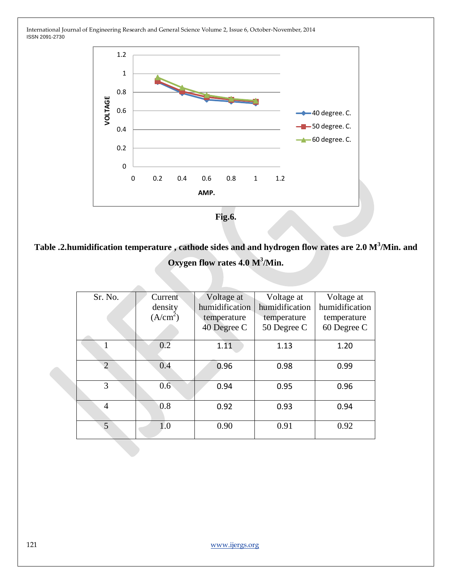

**Table .2.humidification temperature , cathode sides and and hydrogen flow rates are 2.0 M<sup>3</sup> /Min. and**  Oxygen flow rates 4.0 M<sup>3</sup>/Min.

| Sr. No.        | Current              | Voltage at     | Voltage at     | Voltage at     |
|----------------|----------------------|----------------|----------------|----------------|
|                | density              | humidification | humidification | humidification |
|                | (A/cm <sup>2</sup> ) | temperature    | temperature    | temperature    |
|                |                      | 40 Degree C    | 50 Degree C    | 60 Degree C    |
|                | 0.2                  | 1.11           | 1.13           | 1.20           |
| $\overline{2}$ | 0.4                  | 0.96           | 0.98           | 0.99           |
| 3              | 0.6                  | 0.94           | 0.95           | 0.96           |
| 4              | 0.8                  | 0.92           | 0.93           | 0.94           |
| $\overline{5}$ | 1.0                  | 0.90           | 0.91           | 0.92           |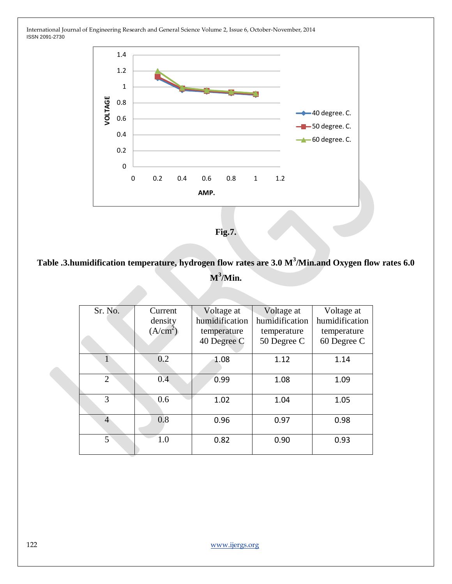

**Fig.7.**

# **Table .3.humidification temperature, hydrogen flow rates are 3.0 M<sup>3</sup> /Min.and Oxygen flow rates 6.0**   $M^3/M$ in.

| Sr. No.        | Current              | Voltage at     | Voltage at     | Voltage at     |
|----------------|----------------------|----------------|----------------|----------------|
|                | density              | humidification | humidification | humidification |
|                | (A/cm <sup>2</sup> ) | temperature    | temperature    | temperature    |
|                |                      | 40 Degree C    | 50 Degree C    | 60 Degree C    |
|                | 0.2                  | 1.08           | 1.12           | 1.14           |
| $\overline{2}$ | 0.4                  | 0.99           | 1.08           | 1.09           |
| 3              | 0.6                  | 1.02           | 1.04           | 1.05           |
| $\overline{4}$ | 0.8                  | 0.96           | 0.97           | 0.98           |
| 5              | 1.0                  | 0.82           | 0.90           | 0.93           |